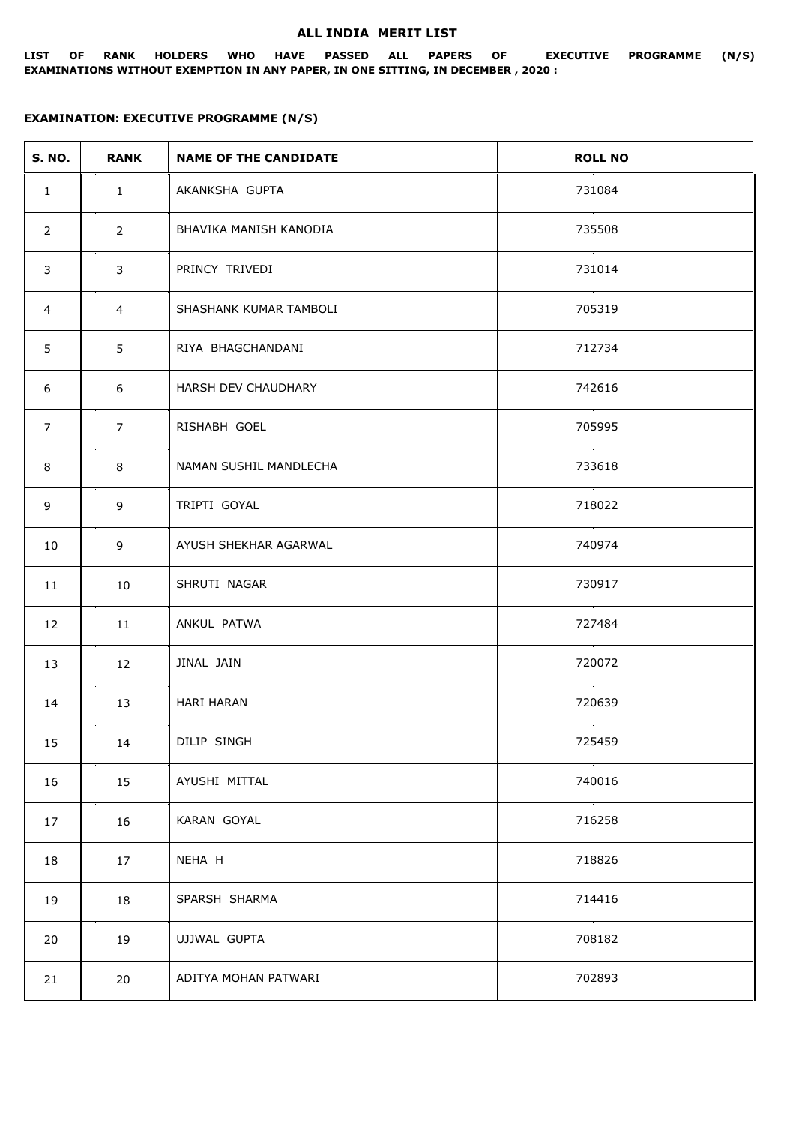## **ALL INDIA MERIT LIST**

**LIST OF RANK HOLDERS WHO HAVE PASSED ALL PAPERS OF EXECUTIVE PROGRAMME (N/S) EXAMINATIONS WITHOUT EXEMPTION IN ANY PAPER, IN ONE SITTING, IN DECEMBER , 2020 :**

## **EXAMINATION: EXECUTIVE PROGRAMME (N/S)**

| <b>S. NO.</b>  | <b>RANK</b>    | <b>NAME OF THE CANDIDATE</b> | <b>ROLL NO</b> |
|----------------|----------------|------------------------------|----------------|
| $\mathbf{1}$   | $\mathbf{1}$   | AKANKSHA GUPTA               | 731084         |
| $\overline{2}$ | $2^{\circ}$    | BHAVIKA MANISH KANODIA       | 735508         |
| 3              | 3              | PRINCY TRIVEDI               | 731014         |
| $\overline{4}$ | $\overline{4}$ | SHASHANK KUMAR TAMBOLI       | 705319         |
| 5              | 5              | RIYA BHAGCHANDANI            | 712734         |
| 6              | 6              | HARSH DEV CHAUDHARY          | 742616         |
| $\overline{7}$ | $\overline{7}$ | RISHABH GOEL                 | 705995         |
| 8              | 8              | NAMAN SUSHIL MANDLECHA       | 733618         |
| 9              | 9              | TRIPTI GOYAL                 | 718022         |
| 10             | 9              | AYUSH SHEKHAR AGARWAL        | 740974         |
| 11             | 10             | SHRUTI NAGAR                 | 730917         |
| 12             | 11             | ANKUL PATWA                  | 727484         |
| 13             | 12             | JINAL JAIN                   | 720072         |
| 14             | 13             | <b>HARI HARAN</b>            | 720639         |
| 15             | 14             | DILIP SINGH                  | 725459         |
| 16             | 15             | AYUSHI MITTAL                | 740016         |
| 17             | 16             | KARAN GOYAL                  | 716258         |
| 18             | 17             | NEHA H                       | 718826         |
| 19             | 18             | SPARSH SHARMA                | 714416         |
| 20             | 19             | UJJWAL GUPTA                 | 708182         |
| 21             | 20             | ADITYA MOHAN PATWARI         | 702893         |